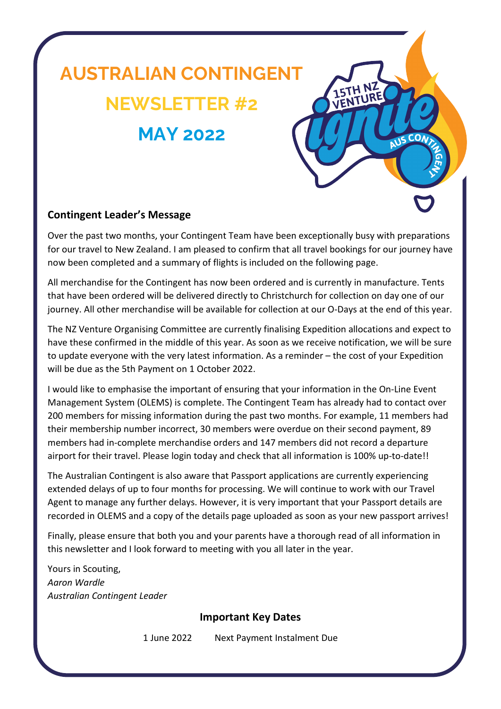# **AUSTRALIAN CONTINGENT NEWSLETTER #2 MAY 2022**

#### **Contingent Leader's Message**

Over the past two months, your Contingent Team have been exceptionally busy with preparations for our travel to New Zealand. I am pleased to confirm that all travel bookings for our journey have now been completed and a summary of flights is included on the following page.

**15TH IVER** 

**COA** 

All merchandise for the Contingent has now been ordered and is currently in manufacture. Tents that have been ordered will be delivered directly to Christchurch for collection on day one of our journey. All other merchandise will be available for collection at our O-Days at the end of this year.

The NZ Venture Organising Committee are currently finalising Expedition allocations and expect to have these confirmed in the middle of this year. As soon as we receive notification, we will be sure to update everyone with the very latest information. As a reminder – the cost of your Expedition will be due as the 5th Payment on 1 October 2022.

I would like to emphasise the important of ensuring that your information in the On-Line Event Management System (OLEMS) is complete. The Contingent Team has already had to contact over 200 members for missing information during the past two months. For example, 11 members had their membership number incorrect, 30 members were overdue on their second payment, 89 members had in-complete merchandise orders and 147 members did not record a departure airport for their travel. Please login today and check that all information is 100% up-to-date!!

The Australian Contingent is also aware that Passport applications are currently experiencing extended delays of up to four months for processing. We will continue to work with our Travel Agent to manage any further delays. However, it is very important that your Passport details are recorded in OLEMS and a copy of the details page uploaded as soon as your new passport arrives!

Finally, please ensure that both you and your parents have a thorough read of all information in this newsletter and I look forward to meeting with you all later in the year.

Yours in Scouting, *Aaron Wardle Australian Contingent Leader*

#### **Important Key Dates**

1 June 2022 Next Payment Instalment Due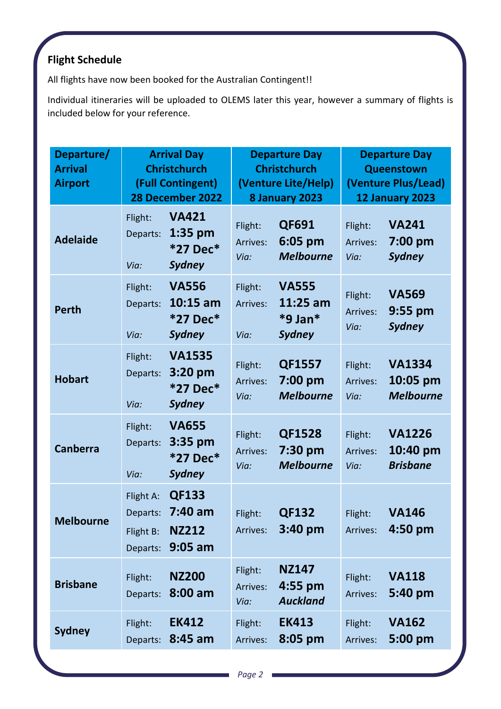## **Flight Schedule**

All flights have now been booked for the Australian Contingent!!

Individual itineraries will be uploaded to OLEMS later this year, however a summary of flights is included below for your reference.

| Departure/<br><b>Arrival</b><br><b>Airport</b> | <b>Arrival Day</b><br><b>Christchurch</b><br>(Full Contingent)<br>28 December 2022                |                             | <b>Departure Day</b><br><b>Christchurch</b><br>(Venture Lite/Help)<br>8 January 2023 |                             | <b>Departure Day</b><br>Queenstown<br>(Venture Plus/Lead)<br>12 January 2023 |  |
|------------------------------------------------|---------------------------------------------------------------------------------------------------|-----------------------------|--------------------------------------------------------------------------------------|-----------------------------|------------------------------------------------------------------------------|--|
| <b>Adelaide</b>                                | <b>VA421</b><br>Flight:<br>$1:35$ pm<br>Departs:<br>*27 Dec*<br><b>Sydney</b><br>Via:             | Flight:<br>Arrives:<br>Via: | QF691<br>6:05 pm<br><b>Melbourne</b>                                                 | Flight:<br>Arrives:<br>Via: | <b>VA241</b><br>7:00 pm<br><b>Sydney</b>                                     |  |
| <b>Perth</b>                                   | <b>VA556</b><br>Flight:<br>$10:15$ am<br>Departs:<br>*27 Dec*<br><b>Sydney</b><br>Via:            | Flight:<br>Arrives:<br>Via: | <b>VA555</b><br>$11:25$ am<br>$*9$ Jan $*$<br><b>Sydney</b>                          | Flight:<br>Arrives:<br>Via: | <b>VA569</b><br>$9:55$ pm<br><b>Sydney</b>                                   |  |
| <b>Hobart</b>                                  | <b>VA1535</b><br>Flight:<br>3:20 pm<br>Departs:<br>*27 Dec*<br><b>Sydney</b><br>Via:              | Flight:<br>Arrives:<br>Via: | <b>QF1557</b><br>7:00 pm<br><b>Melbourne</b>                                         | Flight:<br>Arrives:<br>Via: | <b>VA1334</b><br>10:05 pm<br><b>Melbourne</b>                                |  |
| <b>Canberra</b>                                | <b>VA655</b><br>Flight:<br>3:35 pm<br>Departs:<br>*27 Dec*<br><b>Sydney</b><br>Via:               | Flight:<br>Arrives:<br>Via: | <b>QF1528</b><br>7:30 pm<br><b>Melbourne</b>                                         | Flight:<br>Arrives:<br>Via: | <b>VA1226</b><br>10:40 pm<br><b>Brisbane</b>                                 |  |
| <b>Melbourne</b>                               | QF133<br>Flight A:<br>$7:40$ am<br>Departs:<br><b>NZ212</b><br>Flight B:<br>$9:05$ am<br>Departs: | Flight:<br>Arrives:         | <b>QF132</b><br>$3:40$ pm                                                            | Flight:<br>Arrives:         | <b>VA146</b><br>$4:50$ pm                                                    |  |
| <b>Brisbane</b>                                | <b>NZ200</b><br>Flight:<br>$8:00$ am<br>Departs:                                                  | Flight:<br>Arrives:<br>Via: | <b>NZ147</b><br>$4:55$ pm<br><b>Auckland</b>                                         | Flight:<br>Arrives:         | <b>VA118</b><br>5:40 pm                                                      |  |
| <b>Sydney</b>                                  | <b>EK412</b><br>Flight:<br>$8:45$ am<br>Departs:                                                  | Flight:<br>Arrives:         | <b>EK413</b><br>$8:05$ pm                                                            | Flight:<br>Arrives:         | <b>VA162</b><br>5:00 pm                                                      |  |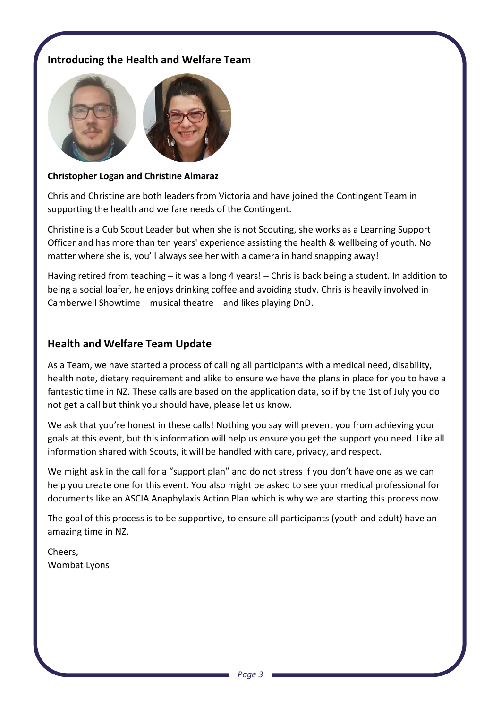#### **Introducing the Health and Welfare Team**



#### **Christopher Logan and Christine Almaraz**

Chris and Christine are both leaders from Victoria and have joined the Contingent Team in supporting the health and welfare needs of the Contingent.

Christine is a Cub Scout Leader but when she is not Scouting, she works as a Learning Support Officer and has more than ten years' experience assisting the health & wellbeing of youth. No matter where she is, you'll always see her with a camera in hand snapping away!

Having retired from teaching – it was a long 4 years! – Chris is back being a student. In addition to being a social loafer, he enjoys drinking coffee and avoiding study. Chris is heavily involved in Camberwell Showtime – musical theatre – and likes playing DnD.

#### **Health and Welfare Team Update**

As a Team, we have started a process of calling all participants with a medical need, disability, health note, dietary requirement and alike to ensure we have the plans in place for you to have a fantastic time in NZ. These calls are based on the application data, so if by the 1st of July you do not get a call but think you should have, please let us know.

We ask that you're honest in these calls! Nothing you say will prevent you from achieving your goals at this event, but this information will help us ensure you get the support you need. Like all information shared with Scouts, it will be handled with care, privacy, and respect.

We might ask in the call for a "support plan" and do not stress if you don't have one as we can help you create one for this event. You also might be asked to see your medical professional for documents like an ASCIA Anaphylaxis Action Plan which is why we are starting this process now.

The goal of this process is to be supportive, to ensure all participants (youth and adult) have an amazing time in NZ.

Cheers, Wombat Lyons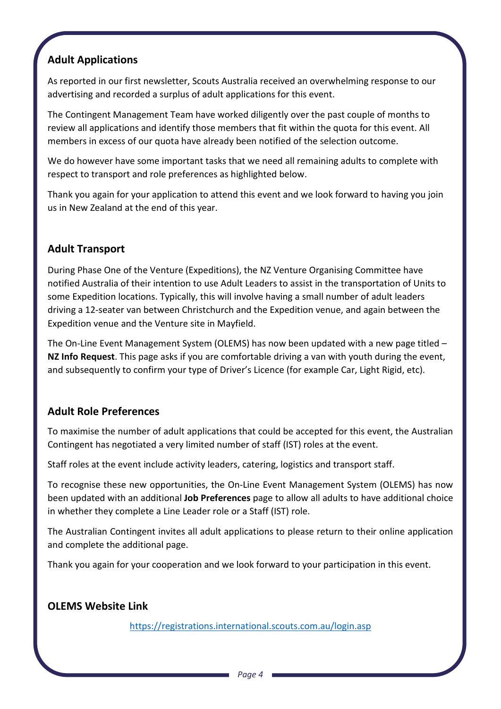#### **Adult Applications**

As reported in our first newsletter, Scouts Australia received an overwhelming response to our advertising and recorded a surplus of adult applications for this event.

The Contingent Management Team have worked diligently over the past couple of months to review all applications and identify those members that fit within the quota for this event. All members in excess of our quota have already been notified of the selection outcome.

We do however have some important tasks that we need all remaining adults to complete with respect to transport and role preferences as highlighted below.

Thank you again for your application to attend this event and we look forward to having you join us in New Zealand at the end of this year.

#### **Adult Transport**

During Phase One of the Venture (Expeditions), the NZ Venture Organising Committee have notified Australia of their intention to use Adult Leaders to assist in the transportation of Units to some Expedition locations. Typically, this will involve having a small number of adult leaders driving a 12-seater van between Christchurch and the Expedition venue, and again between the Expedition venue and the Venture site in Mayfield.

The On-Line Event Management System (OLEMS) has now been updated with a new page titled – **NZ Info Request**. This page asks if you are comfortable driving a van with youth during the event, and subsequently to confirm your type of Driver's Licence (for example Car, Light Rigid, etc).

#### **Adult Role Preferences**

To maximise the number of adult applications that could be accepted for this event, the Australian Contingent has negotiated a very limited number of staff (IST) roles at the event.

Staff roles at the event include activity leaders, catering, logistics and transport staff.

To recognise these new opportunities, the On-Line Event Management System (OLEMS) has now been updated with an additional **Job Preferences** page to allow all adults to have additional choice in whether they complete a Line Leader role or a Staff (IST) role.

The Australian Contingent invites all adult applications to please return to their online application and complete the additional page.

Thank you again for your cooperation and we look forward to your participation in this event.

#### **OLEMS Website Link**

<https://registrations.international.scouts.com.au/login.asp>